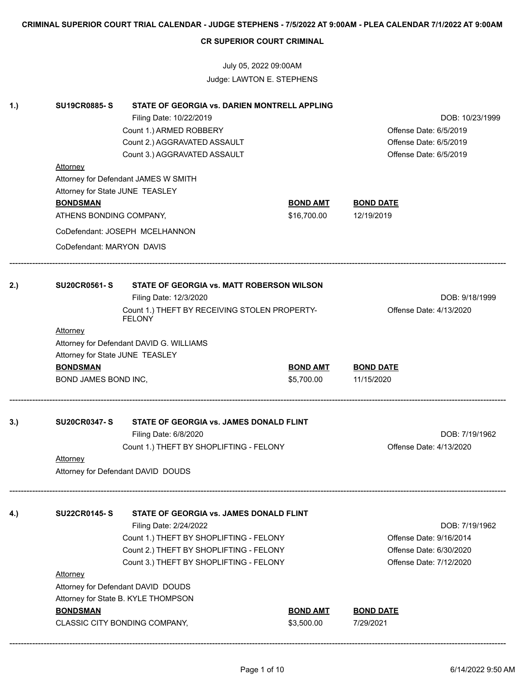July 05, 2022 09:00AM Judge: LAWTON E. STEPHENS

| 1.  | <b>SU19CR0885-S</b><br><b>Attorney</b><br>Attorney for State JUNE TEASLEY | STATE OF GEORGIA vs. DARIEN MONTRELL APPLING<br>Filing Date: 10/22/2019<br>Count 1.) ARMED ROBBERY<br>Count 2.) AGGRAVATED ASSAULT<br>Count 3.) AGGRAVATED ASSAULT<br>Attorney for Defendant JAMES W SMITH |                               | DOB: 10/23/1999<br>Offense Date: 6/5/2019<br>Offense Date: 6/5/2019<br>Offense Date: 6/5/2019 |  |  |
|-----|---------------------------------------------------------------------------|------------------------------------------------------------------------------------------------------------------------------------------------------------------------------------------------------------|-------------------------------|-----------------------------------------------------------------------------------------------|--|--|
|     | <b>BONDSMAN</b>                                                           |                                                                                                                                                                                                            | <b>BOND AMT</b>               | <u>BOND DATE</u>                                                                              |  |  |
|     | ATHENS BONDING COMPANY,                                                   |                                                                                                                                                                                                            | \$16,700.00                   | 12/19/2019                                                                                    |  |  |
|     |                                                                           | CoDefendant: JOSEPH MCELHANNON                                                                                                                                                                             |                               |                                                                                               |  |  |
|     | CoDefendant: MARYON DAVIS                                                 |                                                                                                                                                                                                            |                               |                                                                                               |  |  |
| 2.) | <b>SU20CR0561-S</b>                                                       | STATE OF GEORGIA vs. MATT ROBERSON WILSON<br>Filing Date: 12/3/2020                                                                                                                                        |                               | DOB: 9/18/1999                                                                                |  |  |
|     |                                                                           | Count 1.) THEFT BY RECEIVING STOLEN PROPERTY-                                                                                                                                                              |                               | Offense Date: 4/13/2020                                                                       |  |  |
|     | <b>Attorney</b>                                                           | <b>FELONY</b>                                                                                                                                                                                              |                               |                                                                                               |  |  |
|     | Attorney for State JUNE TEASLEY                                           | Attorney for Defendant DAVID G. WILLIAMS                                                                                                                                                                   |                               |                                                                                               |  |  |
|     | <b>BONDSMAN</b>                                                           |                                                                                                                                                                                                            | <b>BOND AMT</b>               | <b>BOND DATE</b>                                                                              |  |  |
|     | BOND JAMES BOND INC,                                                      |                                                                                                                                                                                                            | \$5,700.00                    | 11/15/2020                                                                                    |  |  |
| 3.) | <b>SU20CR0347-S</b><br>STATE OF GEORGIA vs. JAMES DONALD FLINT            |                                                                                                                                                                                                            |                               |                                                                                               |  |  |
|     |                                                                           | Filing Date: 6/8/2020                                                                                                                                                                                      |                               | DOB: 7/19/1962                                                                                |  |  |
|     |                                                                           | Count 1.) THEFT BY SHOPLIFTING - FELONY                                                                                                                                                                    |                               | Offense Date: 4/13/2020                                                                       |  |  |
|     | Attorney                                                                  |                                                                                                                                                                                                            |                               |                                                                                               |  |  |
|     |                                                                           | Attorney for Defendant DAVID DOUDS                                                                                                                                                                         |                               |                                                                                               |  |  |
| 4.) | <b>SU22CR0145-S</b>                                                       | STATE OF GEORGIA vs. JAMES DONALD FLINT                                                                                                                                                                    |                               |                                                                                               |  |  |
|     |                                                                           | Filing Date: 2/24/2022                                                                                                                                                                                     |                               | DOB: 7/19/1962                                                                                |  |  |
|     |                                                                           | Count 1.) THEFT BY SHOPLIFTING - FELONY                                                                                                                                                                    |                               | Offense Date: 9/16/2014                                                                       |  |  |
|     |                                                                           | Count 2.) THEFT BY SHOPLIFTING - FELONY                                                                                                                                                                    |                               | Offense Date: 6/30/2020                                                                       |  |  |
|     |                                                                           | Count 3.) THEFT BY SHOPLIFTING - FELONY                                                                                                                                                                    |                               | Offense Date: 7/12/2020                                                                       |  |  |
|     | <b>Attorney</b>                                                           |                                                                                                                                                                                                            |                               |                                                                                               |  |  |
|     |                                                                           | Attorney for Defendant DAVID DOUDS                                                                                                                                                                         |                               |                                                                                               |  |  |
|     |                                                                           | Attorney for State B. KYLE THOMPSON                                                                                                                                                                        |                               |                                                                                               |  |  |
|     | <b>BONDSMAN</b>                                                           | CLASSIC CITY BONDING COMPANY,                                                                                                                                                                              | <b>BOND AMT</b><br>\$3,500.00 | <b>BOND DATE</b><br>7/29/2021                                                                 |  |  |
|     |                                                                           |                                                                                                                                                                                                            |                               |                                                                                               |  |  |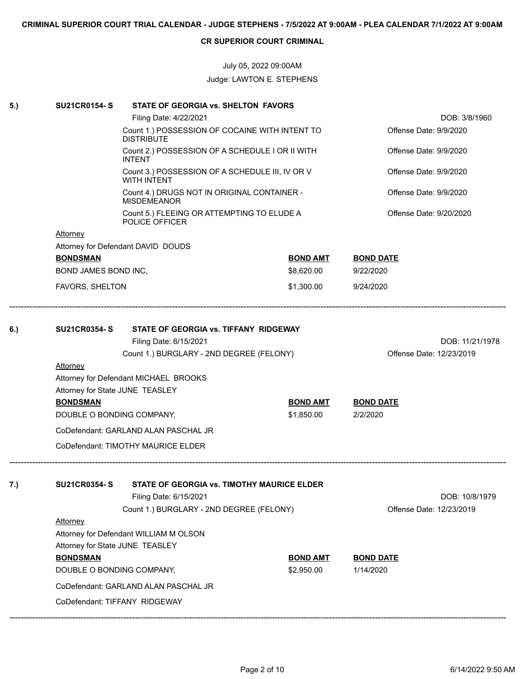# July 05, 2022 09:00AM Judge: LAWTON E. STEPHENS

| 5.) | <b>SU21CR0154-S</b>                                              | STATE OF GEORGIA vs. SHELTON FAVORS                                   |                 |                                             |  |
|-----|------------------------------------------------------------------|-----------------------------------------------------------------------|-----------------|---------------------------------------------|--|
|     |                                                                  | Filing Date: 4/22/2021                                                |                 | DOB: 3/8/1960                               |  |
|     |                                                                  | Count 1.) POSSESSION OF COCAINE WITH INTENT TO<br><b>DISTRIBUTE</b>   |                 | Offense Date: 9/9/2020                      |  |
|     | Count 2.) POSSESSION OF A SCHEDULE I OR II WITH<br><b>INTENT</b> |                                                                       |                 | Offense Date: 9/9/2020                      |  |
|     |                                                                  | Count 3.) POSSESSION OF A SCHEDULE III, IV OR V<br><b>WITH INTENT</b> |                 | Offense Date: 9/9/2020                      |  |
|     |                                                                  | Count 4.) DRUGS NOT IN ORIGINAL CONTAINER -<br><b>MISDEMEANOR</b>     |                 | Offense Date: 9/9/2020                      |  |
|     |                                                                  | Count 5.) FLEEING OR ATTEMPTING TO ELUDE A<br>POLICE OFFICER          |                 | Offense Date: 9/20/2020                     |  |
|     | <b>Attorney</b>                                                  |                                                                       |                 |                                             |  |
|     |                                                                  | Attorney for Defendant DAVID DOUDS                                    |                 |                                             |  |
|     | <b>BONDSMAN</b>                                                  |                                                                       | <b>BOND AMT</b> | <b>BOND DATE</b>                            |  |
|     | <b>BOND JAMES BOND INC,</b>                                      |                                                                       | \$8,620.00      | 9/22/2020                                   |  |
|     | FAVORS, SHELTON                                                  |                                                                       | \$1,300.00      | 9/24/2020                                   |  |
|     |                                                                  |                                                                       |                 |                                             |  |
| 6.) | <b>SU21CR0354-S</b>                                              | STATE OF GEORGIA vs. TIFFANY RIDGEWAY                                 |                 |                                             |  |
|     |                                                                  | Filing Date: 6/15/2021<br>Count 1.) BURGLARY - 2ND DEGREE (FELONY)    |                 | DOB: 11/21/1978<br>Offense Date: 12/23/2019 |  |
|     | <b>Attorney</b>                                                  |                                                                       |                 |                                             |  |
|     |                                                                  | Attorney for Defendant MICHAEL BROOKS                                 |                 |                                             |  |
|     | Attorney for State JUNE TEASLEY                                  |                                                                       |                 |                                             |  |
|     | <b>BONDSMAN</b>                                                  |                                                                       | <b>BOND AMT</b> | <b>BOND DATE</b>                            |  |
|     | DOUBLE O BONDING COMPANY,                                        |                                                                       | \$1,850.00      | 2/2/2020                                    |  |
|     |                                                                  | CoDefendant: GARLAND ALAN PASCHAL JR                                  |                 |                                             |  |
|     |                                                                  | CoDefendant: TIMOTHY MAURICE ELDER                                    |                 |                                             |  |
| 7.) | <b>SU21CR0354-S</b>                                              | STATE OF GEORGIA vs. TIMOTHY MAURICE ELDER                            |                 |                                             |  |
|     |                                                                  | Filing Date: 6/15/2021                                                |                 | DOB: 10/8/1979                              |  |
|     |                                                                  | Count 1.) BURGLARY - 2ND DEGREE (FELONY)                              |                 | Offense Date: 12/23/2019                    |  |
|     | Attorney                                                         |                                                                       |                 |                                             |  |
|     |                                                                  | Attorney for Defendant WILLIAM M OLSON                                |                 |                                             |  |
|     | Attorney for State JUNE TEASLEY                                  |                                                                       |                 |                                             |  |
|     | <b>BONDSMAN</b>                                                  |                                                                       | <b>BOND AMT</b> | <b>BOND DATE</b>                            |  |
|     | DOUBLE O BONDING COMPANY,                                        |                                                                       | \$2,950.00      | 1/14/2020                                   |  |
|     |                                                                  | CoDefendant: GARLAND ALAN PASCHAL JR                                  |                 |                                             |  |
|     |                                                                  | CoDefendant: TIFFANY RIDGEWAY                                         |                 |                                             |  |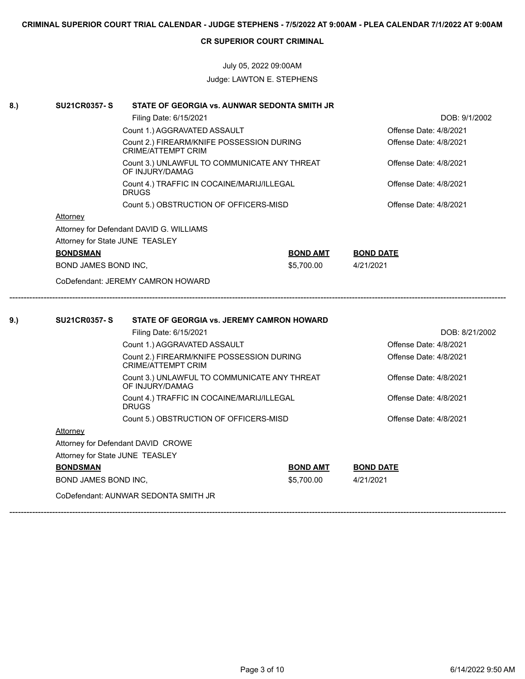# July 05, 2022 09:00AM Judge: LAWTON E. STEPHENS

| Filing Date: 6/15/2021<br>DOB: 9/1/2002<br>Offense Date: 4/8/2021<br>Count 1.) AGGRAVATED ASSAULT<br>Count 2.) FIREARM/KNIFE POSSESSION DURING<br>Offense Date: 4/8/2021<br><b>CRIME/ATTEMPT CRIM</b><br>Count 3.) UNLAWFUL TO COMMUNICATE ANY THREAT<br>Offense Date: 4/8/2021<br>OF INJURY/DAMAG<br>Count 4.) TRAFFIC IN COCAINE/MARIJ/ILLEGAL<br>Offense Date: 4/8/2021<br><b>DRUGS</b><br>Count 5.) OBSTRUCTION OF OFFICERS-MISD<br>Offense Date: 4/8/2021<br>Attorney<br>Attorney for Defendant DAVID G. WILLIAMS<br>Attorney for State JUNE TEASLEY<br><b>BONDSMAN</b><br><b>BOND AMT</b><br><b>BOND DATE</b><br>BOND JAMES BOND INC,<br>\$5,700.00<br>4/21/2021<br>CoDefendant: JEREMY CAMRON HOWARD<br><b>SU21CR0357-S</b><br>STATE OF GEORGIA vs. JEREMY CAMRON HOWARD<br>Filing Date: 6/15/2021<br>Count 1.) AGGRAVATED ASSAULT<br>Offense Date: 4/8/2021<br>Offense Date: 4/8/2021<br>Count 2.) FIREARM/KNIFE POSSESSION DURING<br>CRIME/ATTEMPT CRIM<br>Offense Date: 4/8/2021<br>Count 3.) UNLAWFUL TO COMMUNICATE ANY THREAT<br>OF INJURY/DAMAG<br>Offense Date: 4/8/2021<br>Count 4.) TRAFFIC IN COCAINE/MARIJ/ILLEGAL<br><b>DRUGS</b><br>Offense Date: 4/8/2021<br>Count 5.) OBSTRUCTION OF OFFICERS-MISD<br>Attorney<br>Attorney for Defendant DAVID CROWE<br>Attorney for State JUNE TEASLEY<br><b>BONDSMAN</b><br><b>BOND AMT</b><br><b>BOND DATE</b><br>\$5,700.00<br>BOND JAMES BOND INC,<br>4/21/2021<br>CoDefendant: AUNWAR SEDONTA SMITH JR | 8.) | <b>SU21CR0357-S</b> | STATE OF GEORGIA vs. AUNWAR SEDONTA SMITH JR |  |                |
|---------------------------------------------------------------------------------------------------------------------------------------------------------------------------------------------------------------------------------------------------------------------------------------------------------------------------------------------------------------------------------------------------------------------------------------------------------------------------------------------------------------------------------------------------------------------------------------------------------------------------------------------------------------------------------------------------------------------------------------------------------------------------------------------------------------------------------------------------------------------------------------------------------------------------------------------------------------------------------------------------------------------------------------------------------------------------------------------------------------------------------------------------------------------------------------------------------------------------------------------------------------------------------------------------------------------------------------------------------------------------------------------------------------------------------------------------------------------|-----|---------------------|----------------------------------------------|--|----------------|
| 9.)                                                                                                                                                                                                                                                                                                                                                                                                                                                                                                                                                                                                                                                                                                                                                                                                                                                                                                                                                                                                                                                                                                                                                                                                                                                                                                                                                                                                                                                                 |     |                     |                                              |  |                |
|                                                                                                                                                                                                                                                                                                                                                                                                                                                                                                                                                                                                                                                                                                                                                                                                                                                                                                                                                                                                                                                                                                                                                                                                                                                                                                                                                                                                                                                                     |     |                     |                                              |  |                |
|                                                                                                                                                                                                                                                                                                                                                                                                                                                                                                                                                                                                                                                                                                                                                                                                                                                                                                                                                                                                                                                                                                                                                                                                                                                                                                                                                                                                                                                                     |     |                     |                                              |  |                |
|                                                                                                                                                                                                                                                                                                                                                                                                                                                                                                                                                                                                                                                                                                                                                                                                                                                                                                                                                                                                                                                                                                                                                                                                                                                                                                                                                                                                                                                                     |     |                     |                                              |  |                |
|                                                                                                                                                                                                                                                                                                                                                                                                                                                                                                                                                                                                                                                                                                                                                                                                                                                                                                                                                                                                                                                                                                                                                                                                                                                                                                                                                                                                                                                                     |     |                     |                                              |  |                |
|                                                                                                                                                                                                                                                                                                                                                                                                                                                                                                                                                                                                                                                                                                                                                                                                                                                                                                                                                                                                                                                                                                                                                                                                                                                                                                                                                                                                                                                                     |     |                     |                                              |  |                |
|                                                                                                                                                                                                                                                                                                                                                                                                                                                                                                                                                                                                                                                                                                                                                                                                                                                                                                                                                                                                                                                                                                                                                                                                                                                                                                                                                                                                                                                                     |     |                     |                                              |  |                |
|                                                                                                                                                                                                                                                                                                                                                                                                                                                                                                                                                                                                                                                                                                                                                                                                                                                                                                                                                                                                                                                                                                                                                                                                                                                                                                                                                                                                                                                                     |     |                     |                                              |  |                |
|                                                                                                                                                                                                                                                                                                                                                                                                                                                                                                                                                                                                                                                                                                                                                                                                                                                                                                                                                                                                                                                                                                                                                                                                                                                                                                                                                                                                                                                                     |     |                     |                                              |  |                |
|                                                                                                                                                                                                                                                                                                                                                                                                                                                                                                                                                                                                                                                                                                                                                                                                                                                                                                                                                                                                                                                                                                                                                                                                                                                                                                                                                                                                                                                                     |     |                     |                                              |  |                |
|                                                                                                                                                                                                                                                                                                                                                                                                                                                                                                                                                                                                                                                                                                                                                                                                                                                                                                                                                                                                                                                                                                                                                                                                                                                                                                                                                                                                                                                                     |     |                     |                                              |  |                |
|                                                                                                                                                                                                                                                                                                                                                                                                                                                                                                                                                                                                                                                                                                                                                                                                                                                                                                                                                                                                                                                                                                                                                                                                                                                                                                                                                                                                                                                                     |     |                     |                                              |  |                |
|                                                                                                                                                                                                                                                                                                                                                                                                                                                                                                                                                                                                                                                                                                                                                                                                                                                                                                                                                                                                                                                                                                                                                                                                                                                                                                                                                                                                                                                                     |     |                     |                                              |  |                |
|                                                                                                                                                                                                                                                                                                                                                                                                                                                                                                                                                                                                                                                                                                                                                                                                                                                                                                                                                                                                                                                                                                                                                                                                                                                                                                                                                                                                                                                                     |     |                     |                                              |  |                |
|                                                                                                                                                                                                                                                                                                                                                                                                                                                                                                                                                                                                                                                                                                                                                                                                                                                                                                                                                                                                                                                                                                                                                                                                                                                                                                                                                                                                                                                                     |     |                     |                                              |  | DOB: 8/21/2002 |
|                                                                                                                                                                                                                                                                                                                                                                                                                                                                                                                                                                                                                                                                                                                                                                                                                                                                                                                                                                                                                                                                                                                                                                                                                                                                                                                                                                                                                                                                     |     |                     |                                              |  |                |
|                                                                                                                                                                                                                                                                                                                                                                                                                                                                                                                                                                                                                                                                                                                                                                                                                                                                                                                                                                                                                                                                                                                                                                                                                                                                                                                                                                                                                                                                     |     |                     |                                              |  |                |
|                                                                                                                                                                                                                                                                                                                                                                                                                                                                                                                                                                                                                                                                                                                                                                                                                                                                                                                                                                                                                                                                                                                                                                                                                                                                                                                                                                                                                                                                     |     |                     |                                              |  |                |
|                                                                                                                                                                                                                                                                                                                                                                                                                                                                                                                                                                                                                                                                                                                                                                                                                                                                                                                                                                                                                                                                                                                                                                                                                                                                                                                                                                                                                                                                     |     |                     |                                              |  |                |
|                                                                                                                                                                                                                                                                                                                                                                                                                                                                                                                                                                                                                                                                                                                                                                                                                                                                                                                                                                                                                                                                                                                                                                                                                                                                                                                                                                                                                                                                     |     |                     |                                              |  |                |
|                                                                                                                                                                                                                                                                                                                                                                                                                                                                                                                                                                                                                                                                                                                                                                                                                                                                                                                                                                                                                                                                                                                                                                                                                                                                                                                                                                                                                                                                     |     |                     |                                              |  |                |
|                                                                                                                                                                                                                                                                                                                                                                                                                                                                                                                                                                                                                                                                                                                                                                                                                                                                                                                                                                                                                                                                                                                                                                                                                                                                                                                                                                                                                                                                     |     |                     |                                              |  |                |
|                                                                                                                                                                                                                                                                                                                                                                                                                                                                                                                                                                                                                                                                                                                                                                                                                                                                                                                                                                                                                                                                                                                                                                                                                                                                                                                                                                                                                                                                     |     |                     |                                              |  |                |
|                                                                                                                                                                                                                                                                                                                                                                                                                                                                                                                                                                                                                                                                                                                                                                                                                                                                                                                                                                                                                                                                                                                                                                                                                                                                                                                                                                                                                                                                     |     |                     |                                              |  |                |
|                                                                                                                                                                                                                                                                                                                                                                                                                                                                                                                                                                                                                                                                                                                                                                                                                                                                                                                                                                                                                                                                                                                                                                                                                                                                                                                                                                                                                                                                     |     |                     |                                              |  |                |
|                                                                                                                                                                                                                                                                                                                                                                                                                                                                                                                                                                                                                                                                                                                                                                                                                                                                                                                                                                                                                                                                                                                                                                                                                                                                                                                                                                                                                                                                     |     |                     |                                              |  |                |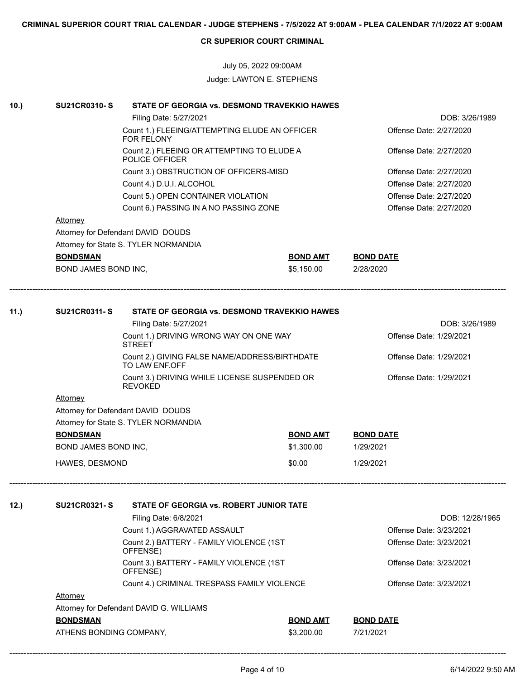# July 05, 2022 09:00AM Judge: LAWTON E. STEPHENS

| 10.) | <b>SU21CR0310-S</b>                                            | STATE OF GEORGIA vs. DESMOND TRAVEKKIO HAWES                    |                         |                         |  |  |  |
|------|----------------------------------------------------------------|-----------------------------------------------------------------|-------------------------|-------------------------|--|--|--|
|      |                                                                | Filing Date: 5/27/2021                                          |                         | DOB: 3/26/1989          |  |  |  |
|      |                                                                | Count 1.) FLEEING/ATTEMPTING ELUDE AN OFFICER<br>FOR FELONY     |                         | Offense Date: 2/27/2020 |  |  |  |
|      |                                                                | Count 2.) FLEEING OR ATTEMPTING TO ELUDE A<br>POLICE OFFICER    | Offense Date: 2/27/2020 |                         |  |  |  |
|      |                                                                | Count 3.) OBSTRUCTION OF OFFICERS-MISD                          | Offense Date: 2/27/2020 |                         |  |  |  |
|      |                                                                | Count 4.) D.U.I. ALCOHOL                                        |                         | Offense Date: 2/27/2020 |  |  |  |
|      |                                                                | Offense Date: 2/27/2020                                         |                         |                         |  |  |  |
|      |                                                                | Count 6.) PASSING IN A NO PASSING ZONE                          |                         | Offense Date: 2/27/2020 |  |  |  |
|      | <b>Attorney</b>                                                |                                                                 |                         |                         |  |  |  |
|      |                                                                | Attorney for Defendant DAVID DOUDS                              |                         |                         |  |  |  |
|      |                                                                | Attorney for State S. TYLER NORMANDIA                           |                         |                         |  |  |  |
|      | <b>BONDSMAN</b>                                                |                                                                 | <b>BOND AMT</b>         | <b>BOND DATE</b>        |  |  |  |
|      | BOND JAMES BOND INC,                                           |                                                                 | \$5,150.00              | 2/28/2020               |  |  |  |
|      | <b>SU21CR0311-S</b>                                            | STATE OF GEORGIA vs. DESMOND TRAVEKKIO HAWES                    |                         |                         |  |  |  |
| 11.) |                                                                |                                                                 |                         | DOB: 3/26/1989          |  |  |  |
|      |                                                                | Filing Date: 5/27/2021                                          |                         | Offense Date: 1/29/2021 |  |  |  |
|      |                                                                | Count 1.) DRIVING WRONG WAY ON ONE WAY<br><b>STREET</b>         |                         |                         |  |  |  |
|      |                                                                | Count 2.) GIVING FALSE NAME/ADDRESS/BIRTHDATE<br>TO LAW ENF.OFF | Offense Date: 1/29/2021 |                         |  |  |  |
|      | Count 3.) DRIVING WHILE LICENSE SUSPENDED OR<br><b>REVOKED</b> |                                                                 |                         | Offense Date: 1/29/2021 |  |  |  |
|      | <b>Attorney</b>                                                |                                                                 |                         |                         |  |  |  |
|      | Attorney for Defendant DAVID DOUDS                             |                                                                 |                         |                         |  |  |  |
|      |                                                                | Attorney for State S. TYLER NORMANDIA                           |                         |                         |  |  |  |
|      | <b>BONDSMAN</b>                                                |                                                                 | <b>BOND AMT</b>         | <b>BOND DATE</b>        |  |  |  |
|      | BOND JAMES BOND INC,                                           |                                                                 | \$1,300.00              | 1/29/2021               |  |  |  |
|      | HAWES, DESMOND                                                 |                                                                 | \$0.00                  | 1/29/2021               |  |  |  |
| 12.) | <b>SU21CR0321-S</b>                                            | STATE OF GEORGIA vs. ROBERT JUNIOR TATE                         |                         |                         |  |  |  |
|      |                                                                | Filing Date: 6/8/2021                                           |                         | DOB: 12/28/1965         |  |  |  |
|      |                                                                | Count 1.) AGGRAVATED ASSAULT                                    |                         | Offense Date: 3/23/2021 |  |  |  |
|      |                                                                | Count 2.) BATTERY - FAMILY VIOLENCE (1ST                        |                         | Offense Date: 3/23/2021 |  |  |  |
|      |                                                                | OFFENSE)                                                        |                         |                         |  |  |  |
|      |                                                                | Count 3.) BATTERY - FAMILY VIOLENCE (1ST<br>OFFENSE)            | Offense Date: 3/23/2021 |                         |  |  |  |
|      |                                                                | Count 4.) CRIMINAL TRESPASS FAMILY VIOLENCE                     |                         | Offense Date: 3/23/2021 |  |  |  |
|      | <b>Attorney</b>                                                |                                                                 |                         |                         |  |  |  |
|      |                                                                | Attorney for Defendant DAVID G. WILLIAMS                        |                         |                         |  |  |  |
|      | <b>BONDSMAN</b>                                                |                                                                 | <b>BOND AMT</b>         | <b>BOND DATE</b>        |  |  |  |
|      | ATHENS BONDING COMPANY,                                        |                                                                 | \$3,200.00              | 7/21/2021               |  |  |  |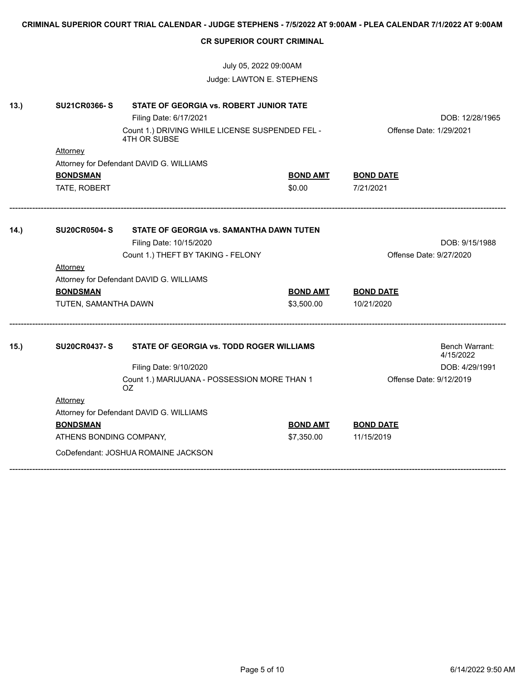|      | CRIMINAL SUPERIOR COURT TRIAL CALENDAR - JUDGE STEPHENS - 7/5/2022 AT 9:00AM - PLEA CALENDAR 7/1/2022 AT 9:00AM |                                                                 |                 |                         |                             |  |
|------|-----------------------------------------------------------------------------------------------------------------|-----------------------------------------------------------------|-----------------|-------------------------|-----------------------------|--|
|      |                                                                                                                 | <b>CR SUPERIOR COURT CRIMINAL</b>                               |                 |                         |                             |  |
|      |                                                                                                                 | July 05, 2022 09:00AM                                           |                 |                         |                             |  |
|      |                                                                                                                 | Judge: LAWTON E. STEPHENS                                       |                 |                         |                             |  |
| 13.) | <b>SU21CR0366-S</b>                                                                                             | <b>STATE OF GEORGIA vs. ROBERT JUNIOR TATE</b>                  |                 |                         |                             |  |
|      |                                                                                                                 | Filing Date: 6/17/2021                                          |                 |                         | DOB: 12/28/1965             |  |
|      |                                                                                                                 | Count 1.) DRIVING WHILE LICENSE SUSPENDED FEL -<br>4TH OR SUBSE |                 | Offense Date: 1/29/2021 |                             |  |
|      | Attorney                                                                                                        |                                                                 |                 |                         |                             |  |
|      |                                                                                                                 | Attorney for Defendant DAVID G. WILLIAMS                        |                 |                         |                             |  |
|      | <b>BONDSMAN</b>                                                                                                 |                                                                 | <u>BOND AMT</u> | <b>BOND DATE</b>        |                             |  |
|      | TATE, ROBERT                                                                                                    |                                                                 | \$0.00          | 7/21/2021               |                             |  |
| 14.  | <b>SU20CR0504-S</b>                                                                                             | STATE OF GEORGIA vs. SAMANTHA DAWN TUTEN                        |                 |                         |                             |  |
|      |                                                                                                                 | Filing Date: 10/15/2020                                         |                 |                         | DOB: 9/15/1988              |  |
|      |                                                                                                                 | Count 1.) THEFT BY TAKING - FELONY                              |                 | Offense Date: 9/27/2020 |                             |  |
|      | <b>Attorney</b>                                                                                                 |                                                                 |                 |                         |                             |  |
|      |                                                                                                                 | Attorney for Defendant DAVID G. WILLIAMS                        |                 |                         |                             |  |
|      | <b>BONDSMAN</b>                                                                                                 |                                                                 | <b>BOND AMT</b> | <b>BOND DATE</b>        |                             |  |
|      | TUTEN, SAMANTHA DAWN                                                                                            |                                                                 | \$3,500.00      | 10/21/2020              |                             |  |
| 15.) | <b>SU20CR0437-S</b>                                                                                             | STATE OF GEORGIA vs. TODD ROGER WILLIAMS                        |                 |                         | Bench Warrant:              |  |
|      |                                                                                                                 |                                                                 |                 |                         | 4/15/2022<br>DOB: 4/29/1991 |  |
|      |                                                                                                                 | Filing Date: 9/10/2020                                          |                 | Offense Date: 9/12/2019 |                             |  |
|      |                                                                                                                 | Count 1.) MARIJUANA - POSSESSION MORE THAN 1<br>OZ.             |                 |                         |                             |  |
|      | <b>Attorney</b>                                                                                                 |                                                                 |                 |                         |                             |  |
|      |                                                                                                                 | Attorney for Defendant DAVID G. WILLIAMS                        |                 |                         |                             |  |
|      | <b>BONDSMAN</b>                                                                                                 |                                                                 | <b>BOND AMT</b> | <b>BOND DATE</b>        |                             |  |
|      | ATHENS BONDING COMPANY,                                                                                         |                                                                 | \$7,350.00      | 11/15/2019              |                             |  |
|      |                                                                                                                 | CoDefendant: JOSHUA ROMAINE JACKSON                             |                 |                         |                             |  |
|      |                                                                                                                 |                                                                 |                 |                         |                             |  |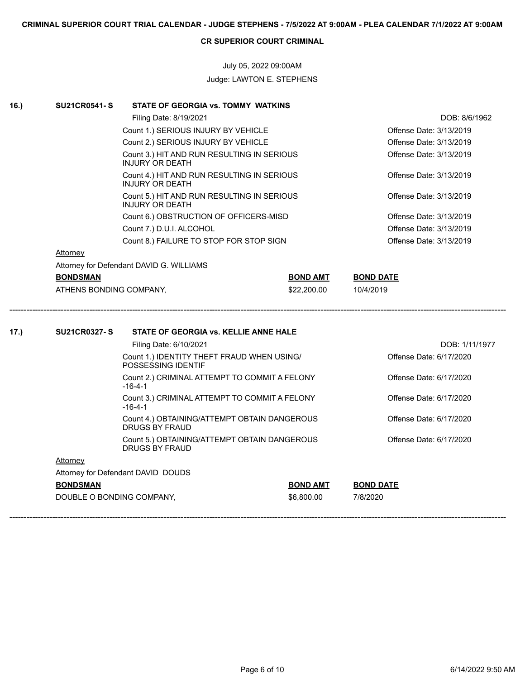# July 05, 2022 09:00AM Judge: LAWTON E. STEPHENS

| 16.) | <b>SU21CR0541-S</b>       | STATE OF GEORGIA vs. TOMMY WATKINS                                    |                 |                         |
|------|---------------------------|-----------------------------------------------------------------------|-----------------|-------------------------|
|      |                           | Filing Date: 8/19/2021                                                |                 | DOB: 8/6/1962           |
|      |                           | Count 1.) SERIOUS INJURY BY VEHICLE                                   |                 | Offense Date: 3/13/2019 |
|      |                           | Count 2.) SERIOUS INJURY BY VEHICLE                                   |                 | Offense Date: 3/13/2019 |
|      |                           | Count 3.) HIT AND RUN RESULTING IN SERIOUS<br><b>INJURY OR DEATH</b>  |                 | Offense Date: 3/13/2019 |
|      |                           | Count 4.) HIT AND RUN RESULTING IN SERIOUS<br><b>INJURY OR DEATH</b>  |                 | Offense Date: 3/13/2019 |
|      |                           | Count 5.) HIT AND RUN RESULTING IN SERIOUS<br><b>INJURY OR DEATH</b>  |                 | Offense Date: 3/13/2019 |
|      |                           | Count 6.) OBSTRUCTION OF OFFICERS-MISD                                |                 | Offense Date: 3/13/2019 |
|      |                           | Count 7.) D.U.I. ALCOHOL                                              |                 | Offense Date: 3/13/2019 |
|      |                           | Count 8.) FAILURE TO STOP FOR STOP SIGN                               |                 | Offense Date: 3/13/2019 |
|      | Attorney                  |                                                                       |                 |                         |
|      |                           | Attorney for Defendant DAVID G. WILLIAMS                              |                 |                         |
|      | <b>BONDSMAN</b>           |                                                                       | <b>BOND AMT</b> | <b>BOND DATE</b>        |
|      | ATHENS BONDING COMPANY,   |                                                                       | \$22,200.00     | 10/4/2019               |
| 17.) | <b>SU21CR0327-S</b>       | STATE OF GEORGIA vs. KELLIE ANNE HALE                                 |                 |                         |
|      |                           | Filing Date: 6/10/2021                                                |                 | DOB: 1/11/1977          |
|      |                           | Count 1.) IDENTITY THEFT FRAUD WHEN USING/<br>POSSESSING IDENTIF      |                 | Offense Date: 6/17/2020 |
|      |                           | Count 2.) CRIMINAL ATTEMPT TO COMMIT A FELONY<br>$-16-4-1$            |                 | Offense Date: 6/17/2020 |
|      |                           | Count 3.) CRIMINAL ATTEMPT TO COMMIT A FELONY<br>$-16-4-1$            |                 | Offense Date: 6/17/2020 |
|      |                           | Count 4.) OBTAINING/ATTEMPT OBTAIN DANGEROUS<br>DRUGS BY FRAUD        |                 | Offense Date: 6/17/2020 |
|      |                           | Count 5.) OBTAINING/ATTEMPT OBTAIN DANGEROUS<br><b>DRUGS BY FRAUD</b> |                 | Offense Date: 6/17/2020 |
|      | Attorney                  |                                                                       |                 |                         |
|      |                           | Attorney for Defendant DAVID DOUDS                                    |                 |                         |
|      | <b>BONDSMAN</b>           |                                                                       | <u>BOND AMT</u> | <b>BOND DATE</b>        |
|      | DOUBLE O BONDING COMPANY, |                                                                       | \$6,800.00      | 7/8/2020                |
|      |                           |                                                                       |                 |                         |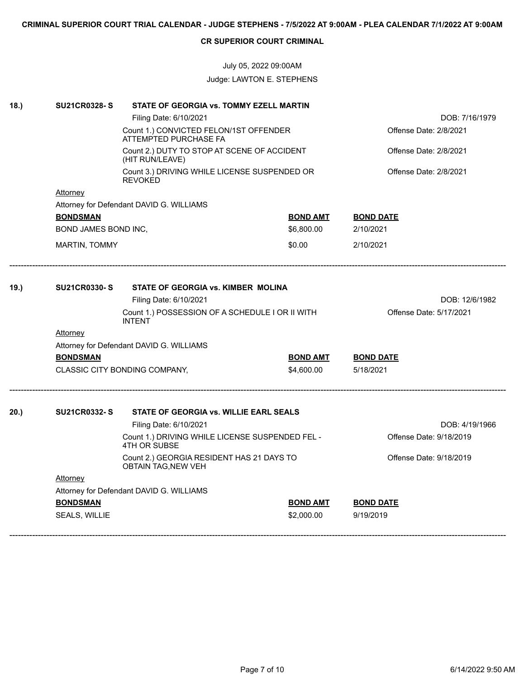# July 05, 2022 09:00AM Judge: LAWTON E. STEPHENS

| 18.) | <b>SU21CR0328-S</b>  | STATE OF GEORGIA vs. TOMMY EZELL MARTIN                                 |                         |                         |
|------|----------------------|-------------------------------------------------------------------------|-------------------------|-------------------------|
|      |                      | Filing Date: 6/10/2021                                                  |                         |                         |
|      |                      | Count 1.) CONVICTED FELON/1ST OFFENDER<br>ATTEMPTED PURCHASE FA         | Offense Date: 2/8/2021  |                         |
|      |                      | Count 2.) DUTY TO STOP AT SCENE OF ACCIDENT<br>(HIT RUN/LEAVE)          |                         | Offense Date: 2/8/2021  |
|      |                      | Count 3.) DRIVING WHILE LICENSE SUSPENDED OR<br><b>REVOKED</b>          |                         | Offense Date: 2/8/2021  |
|      | Attorney             |                                                                         |                         |                         |
|      |                      | Attorney for Defendant DAVID G. WILLIAMS                                |                         |                         |
|      | <b>BONDSMAN</b>      |                                                                         | <b>BOND AMT</b>         | <b>BOND DATE</b>        |
|      | BOND JAMES BOND INC, |                                                                         | \$6,800.00              | 2/10/2021               |
|      | MARTIN, TOMMY        |                                                                         | \$0.00                  | 2/10/2021               |
| 19.) | <b>SU21CR0330-S</b>  | STATE OF GEORGIA vs. KIMBER MOLINA                                      |                         |                         |
|      |                      | Filing Date: 6/10/2021                                                  |                         | DOB: 12/6/1982          |
|      |                      | Count 1.) POSSESSION OF A SCHEDULE I OR II WITH<br><b>INTENT</b>        | Offense Date: 5/17/2021 |                         |
|      | <b>Attorney</b>      |                                                                         |                         |                         |
|      |                      | Attorney for Defendant DAVID G. WILLIAMS                                |                         |                         |
|      | <b>BONDSMAN</b>      |                                                                         | <u>BOND AMT</u>         | <b>BOND DATE</b>        |
|      |                      | CLASSIC CITY BONDING COMPANY,                                           | \$4,600.00              | 5/18/2021               |
| 20.  | <b>SU21CR0332-S</b>  | STATE OF GEORGIA vs. WILLIE EARL SEALS                                  |                         |                         |
|      |                      | Filing Date: 6/10/2021                                                  |                         | DOB: 4/19/1966          |
|      |                      | Count 1.) DRIVING WHILE LICENSE SUSPENDED FEL -<br>4TH OR SUBSE         |                         | Offense Date: 9/18/2019 |
|      |                      | Count 2.) GEORGIA RESIDENT HAS 21 DAYS TO<br><b>OBTAIN TAG, NEW VEH</b> |                         | Offense Date: 9/18/2019 |
|      | <b>Attorney</b>      |                                                                         |                         |                         |
|      |                      | Attorney for Defendant DAVID G. WILLIAMS                                |                         |                         |
|      | <b>BONDSMAN</b>      |                                                                         | <b>BOND AMT</b>         | <b>BOND DATE</b>        |
|      | SEALS, WILLIE        |                                                                         | \$2,000.00              | 9/19/2019               |
|      |                      |                                                                         |                         |                         |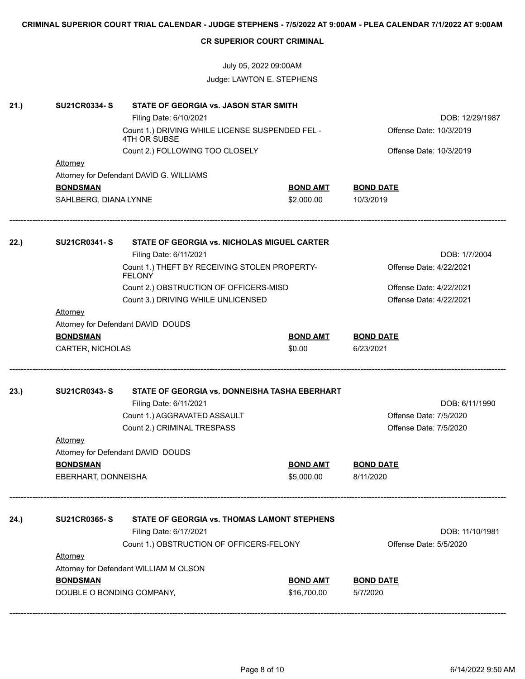|      |                           | July 05, 2022 09:00AM                                           |                         |                         |  |  |  |  |
|------|---------------------------|-----------------------------------------------------------------|-------------------------|-------------------------|--|--|--|--|
|      |                           | Judge: LAWTON E. STEPHENS                                       |                         |                         |  |  |  |  |
| 21.) | <b>SU21CR0334-S</b>       | STATE OF GEORGIA vs. JASON STAR SMITH                           |                         |                         |  |  |  |  |
|      |                           | Filing Date: 6/10/2021                                          |                         | DOB: 12/29/1987         |  |  |  |  |
|      |                           | Count 1.) DRIVING WHILE LICENSE SUSPENDED FEL -<br>4TH OR SUBSE | Offense Date: 10/3/2019 |                         |  |  |  |  |
|      |                           | Count 2.) FOLLOWING TOO CLOSELY                                 |                         | Offense Date: 10/3/2019 |  |  |  |  |
|      | <b>Attorney</b>           |                                                                 |                         |                         |  |  |  |  |
|      |                           | Attorney for Defendant DAVID G. WILLIAMS                        |                         |                         |  |  |  |  |
|      | <b>BONDSMAN</b>           |                                                                 | <b>BOND AMT</b>         | <b>BOND DATE</b>        |  |  |  |  |
|      | SAHLBERG, DIANA LYNNE     |                                                                 | \$2,000.00              | 10/3/2019               |  |  |  |  |
|      |                           |                                                                 |                         |                         |  |  |  |  |
| 22.) | <b>SU21CR0341-S</b>       | STATE OF GEORGIA vs. NICHOLAS MIGUEL CARTER                     |                         |                         |  |  |  |  |
|      |                           | Filing Date: 6/11/2021                                          |                         | DOB: 1/7/2004           |  |  |  |  |
|      |                           | Count 1.) THEFT BY RECEIVING STOLEN PROPERTY-<br><b>FELONY</b>  |                         | Offense Date: 4/22/2021 |  |  |  |  |
|      |                           | Count 2.) OBSTRUCTION OF OFFICERS-MISD                          |                         | Offense Date: 4/22/2021 |  |  |  |  |
|      |                           | Count 3.) DRIVING WHILE UNLICENSED                              | Offense Date: 4/22/2021 |                         |  |  |  |  |
|      | <b>Attorney</b>           |                                                                 |                         |                         |  |  |  |  |
|      |                           | Attorney for Defendant DAVID DOUDS                              |                         |                         |  |  |  |  |
|      | <b>BONDSMAN</b>           |                                                                 | <b>BOND AMT</b>         | <b>BOND DATE</b>        |  |  |  |  |
|      | CARTER, NICHOLAS          |                                                                 | \$0.00                  | 6/23/2021               |  |  |  |  |
| 23.) | <b>SU21CR0343-S</b>       | STATE OF GEORGIA vs. DONNEISHA TASHA EBERHART                   |                         |                         |  |  |  |  |
|      |                           | Filing Date: 6/11/2021                                          |                         | DOB: 6/11/1990          |  |  |  |  |
|      |                           | Count 1.) AGGRAVATED ASSAULT                                    |                         | Offense Date: 7/5/2020  |  |  |  |  |
|      |                           | Count 2.) CRIMINAL TRESPASS                                     |                         | Offense Date: 7/5/2020  |  |  |  |  |
|      | Attorney                  |                                                                 |                         |                         |  |  |  |  |
|      |                           | Attorney for Defendant DAVID DOUDS                              |                         |                         |  |  |  |  |
|      | <b>BONDSMAN</b>           |                                                                 | <b>BOND AMT</b>         | <b>BOND DATE</b>        |  |  |  |  |
|      | EBERHART, DONNEISHA       |                                                                 | \$5,000.00              | 8/11/2020               |  |  |  |  |
|      |                           |                                                                 |                         |                         |  |  |  |  |
| 24.) | <b>SU21CR0365-S</b>       | STATE OF GEORGIA vs. THOMAS LAMONT STEPHENS                     |                         |                         |  |  |  |  |
|      |                           | Filing Date: 6/17/2021                                          |                         | DOB: 11/10/1981         |  |  |  |  |
|      |                           | Count 1.) OBSTRUCTION OF OFFICERS-FELONY                        |                         | Offense Date: 5/5/2020  |  |  |  |  |
|      | Attorney                  |                                                                 |                         |                         |  |  |  |  |
|      |                           | Attorney for Defendant WILLIAM M OLSON                          |                         |                         |  |  |  |  |
|      | <b>BONDSMAN</b>           |                                                                 | <b>BOND AMT</b>         | <b>BOND DATE</b>        |  |  |  |  |
|      | DOUBLE O BONDING COMPANY, |                                                                 | \$16,700.00             | 5/7/2020                |  |  |  |  |

**CRIMINAL SUPERIOR COURT TRIAL CALENDAR - JUDGE STEPHENS - 7/5/2022 AT 9:00AM - PLEA CALENDAR 7/1/2022 AT 9:00AM**

**CR SUPERIOR COURT CRIMINAL**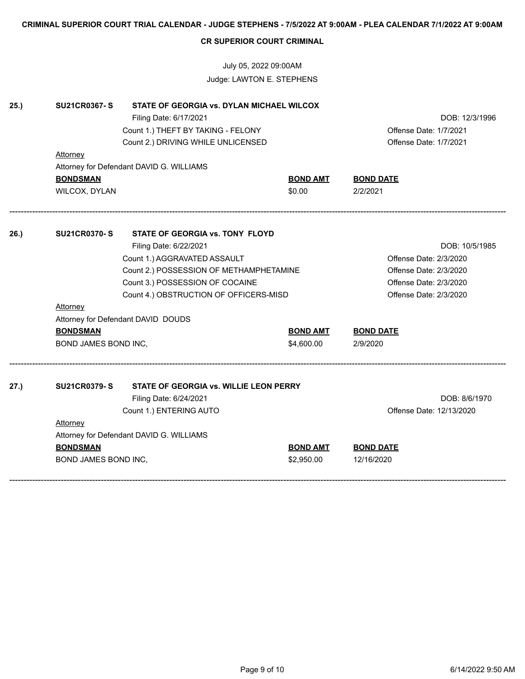|      | <b>CR SUPERIOR COURT CRIMINAL</b> |                                           |                        |                          |  |  |
|------|-----------------------------------|-------------------------------------------|------------------------|--------------------------|--|--|
|      | July 05, 2022 09:00AM             |                                           |                        |                          |  |  |
|      |                                   | Judge: LAWTON E. STEPHENS                 |                        |                          |  |  |
| 25.) | <b>SU21CR0367-S</b>               | STATE OF GEORGIA vs. DYLAN MICHAEL WILCOX |                        |                          |  |  |
|      |                                   | Filing Date: 6/17/2021                    |                        | DOB: 12/3/1996           |  |  |
|      |                                   | Count 1.) THEFT BY TAKING - FELONY        |                        | Offense Date: 1/7/2021   |  |  |
|      |                                   | Count 2.) DRIVING WHILE UNLICENSED        |                        | Offense Date: 1/7/2021   |  |  |
|      | <u>Attorney</u>                   |                                           |                        |                          |  |  |
|      |                                   | Attorney for Defendant DAVID G. WILLIAMS  |                        |                          |  |  |
|      | <b>BONDSMAN</b>                   |                                           | <b>BOND AMT</b>        | <b>BOND DATE</b>         |  |  |
|      | WILCOX, DYLAN                     |                                           | \$0.00                 | 2/2/2021                 |  |  |
| 26.) | <b>SU21CR0370-S</b>               | STATE OF GEORGIA vs. TONY FLOYD           |                        |                          |  |  |
|      |                                   | Filing Date: 6/22/2021                    |                        | DOB: 10/5/1985           |  |  |
|      |                                   | Count 1.) AGGRAVATED ASSAULT              |                        | Offense Date: 2/3/2020   |  |  |
|      |                                   | Count 2.) POSSESSION OF METHAMPHETAMINE   | Offense Date: 2/3/2020 |                          |  |  |
|      |                                   | Count 3.) POSSESSION OF COCAINE           |                        | Offense Date: 2/3/2020   |  |  |
|      |                                   | Count 4.) OBSTRUCTION OF OFFICERS-MISD    | Offense Date: 2/3/2020 |                          |  |  |
|      | Attorney                          |                                           |                        |                          |  |  |
|      |                                   | Attorney for Defendant DAVID DOUDS        |                        |                          |  |  |
|      | <b>BONDSMAN</b>                   |                                           | <b>BOND AMT</b>        | <b>BOND DATE</b>         |  |  |
|      | BOND JAMES BOND INC,              |                                           | \$4,600.00             | 2/9/2020                 |  |  |
|      |                                   |                                           |                        |                          |  |  |
| 27.) | <b>SU21CR0379-S</b>               | STATE OF GEORGIA vs. WILLIE LEON PERRY    |                        |                          |  |  |
|      |                                   | Filing Date: 6/24/2021                    |                        | DOB: 8/6/1970            |  |  |
|      |                                   | Count 1.) ENTERING AUTO                   |                        | Offense Date: 12/13/2020 |  |  |
|      | Attorney                          |                                           |                        |                          |  |  |
|      |                                   | Attorney for Defendant DAVID G. WILLIAMS  |                        |                          |  |  |
|      | <b>BONDSMAN</b>                   |                                           | <b>BOND AMT</b>        | <b>BOND DATE</b>         |  |  |
|      | BOND JAMES BOND INC,              |                                           | \$2,950.00             | 12/16/2020               |  |  |
|      |                                   |                                           |                        |                          |  |  |

**CRIMINAL SUPERIOR COURT TRIAL CALENDAR - JUDGE STEPHENS - 7/5/2022 AT 9:00AM - PLEA CALENDAR 7/1/2022 AT 9:00AM**